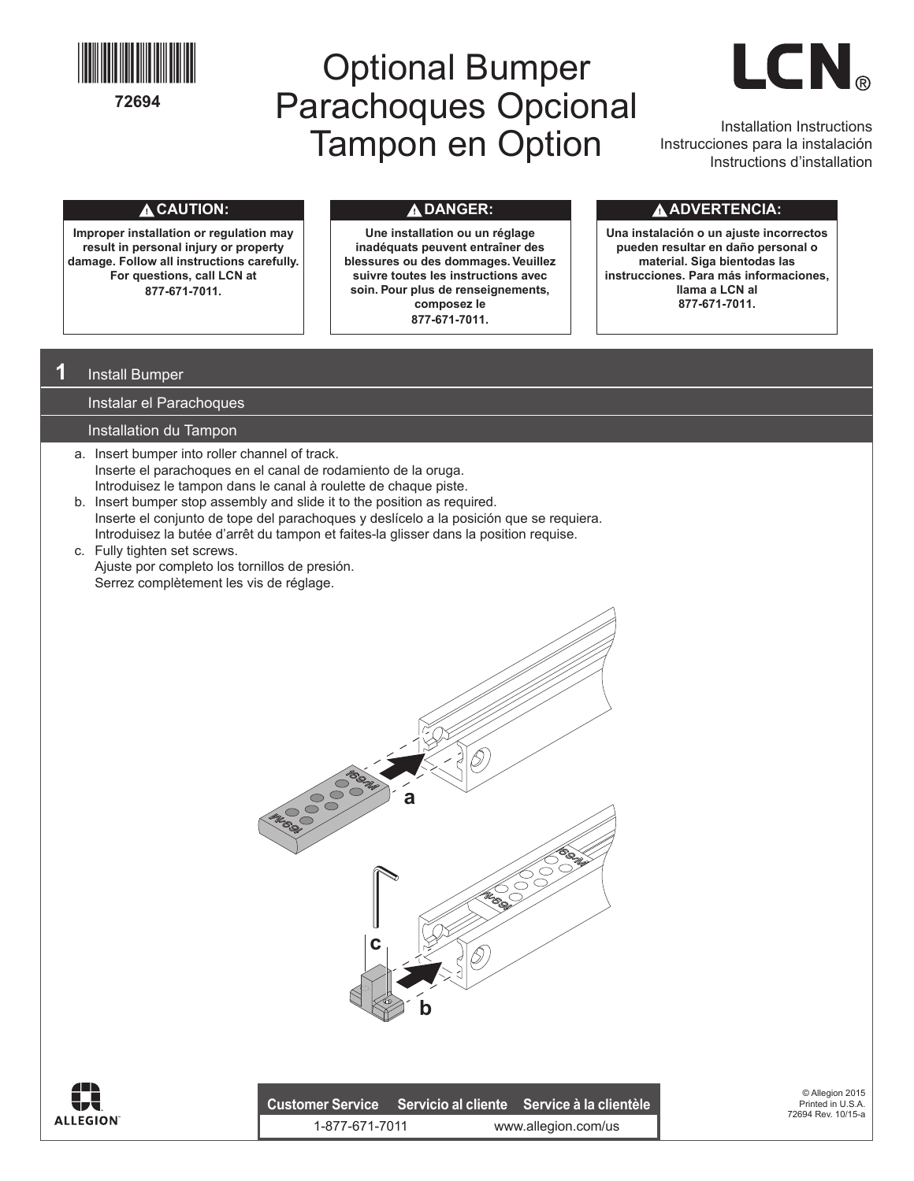

# Optional Bumper Parachoques Opcional Installation Instructions<br> **Tampon en Option** Instructiones para la instalación



Instrucciones para la instalación Instructions d'installation

### **CAUTION:**

**Improper installation or regulation may result in personal injury or property damage. Follow all instructions carefully. For questions, call LCN at 877-671-7011.**

**Une installation ou un réglage inadéquats peuvent entraîner des blessures ou des dommages. Veuillez suivre toutes les instructions avec soin. Pour plus de renseignements, composez le 877-671-7011.**

### **DANGER: ADVERTENCIA:**

**Una instalación o un ajuste incorrectos pueden resultar en daño personal o material. Siga bientodas las instrucciones. Para más informaciones, llama a LCN al 877-671-7011.** 

## **1** Install Bumper

Instalar el Parachoques

#### Installation du Tampon

- a. Insert bumper into roller channel of track. Inserte el parachoques en el canal de rodamiento de la oruga. Introduisez le tampon dans le canal à roulette de chaque piste.
- b. Insert bumper stop assembly and slide it to the position as required. Inserte el conjunto de tope del parachoques y deslícelo a la posición que se requiera. Introduisez la butée d'arrêt du tampon et faites-la glisser dans la position requise.
- c. Fully tighten set screws. Ajuste por completo los tornillos de presión. Serrez complètement les vis de réglage.





|                | Customer Service Servicio al cliente Service à la clientèle |
|----------------|-------------------------------------------------------------|
| 1-877-671-7011 | www.allegion.com/us                                         |

© Allegion 2015 Printed in U.S.A. 72694 Rev. 10/15-a